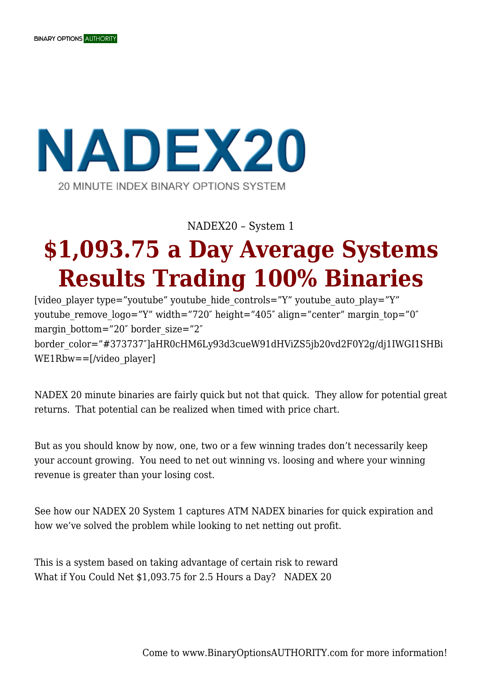## **NADEX20** 20 MINUTE INDEX BINARY OPTIONS SYSTEM

NADEX20 – System 1

## **\$1,093.75 a Day Average Systems Results Trading 100% Binaries**

[video player type="youtube" youtube hide controls="Y" youtube auto play="Y" youtube remove  $logo="Y"$  width="720" height="405" align="center" margin  $top="0"$ margin bottom="20" border size="2" border\_color="#373737″]aHR0cHM6Ly93d3cueW91dHViZS5jb20vd2F0Y2g/dj1IWGI1SHBi WE1Rbw==[/video\_player]

NADEX 20 minute binaries are fairly quick but not that quick. They allow for potential great returns. That potential can be realized when timed with price chart.

But as you should know by now, one, two or a few winning trades don't necessarily keep your account growing. You need to net out winning vs. loosing and where your winning revenue is greater than your losing cost.

See how our NADEX 20 System 1 captures ATM NADEX binaries for quick expiration and how we've solved the problem while looking to net netting out profit.

This is a system based on taking advantage of certain risk to reward What if You Could Net \$1,093.75 for 2.5 Hours a Day? NADEX 20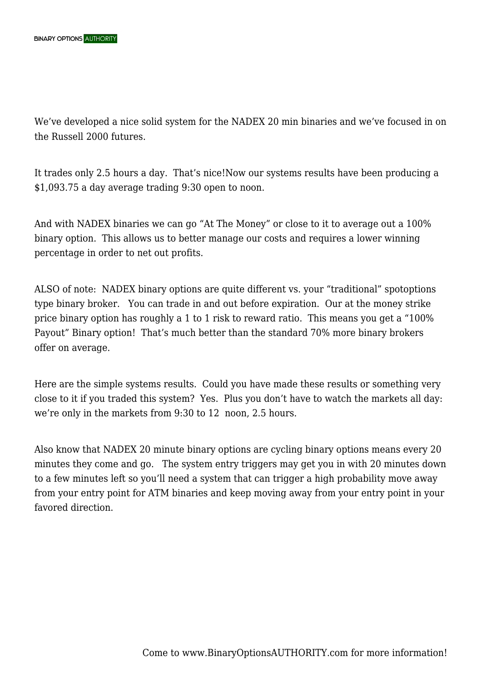We've developed a nice solid system for the NADEX 20 min binaries and we've focused in on the Russell 2000 futures.

It trades only 2.5 hours a day. That's nice!Now our systems results have been producing a \$1,093.75 a day average trading 9:30 open to noon.

And with NADEX binaries we can go "At The Money" or close to it to average out a 100% binary option. This allows us to better manage our costs and requires a lower winning percentage in order to net out profits.

ALSO of note: NADEX binary options are quite different vs. your "traditional" spotoptions type binary broker. You can trade in and out before expiration. Our at the money strike price binary option has roughly a 1 to 1 risk to reward ratio. This means you get a "100% Payout" Binary option! That's much better than the standard 70% more binary brokers offer on average.

Here are the simple systems results. Could you have made these results or something very close to it if you traded this system? Yes. Plus you don't have to watch the markets all day: we're only in the markets from 9:30 to 12 noon, 2.5 hours.

Also know that NADEX 20 minute binary options are cycling binary options means every 20 minutes they come and go. The system entry triggers may get you in with 20 minutes down to a few minutes left so you'll need a system that can trigger a high probability move away from your entry point for ATM binaries and keep moving away from your entry point in your favored direction.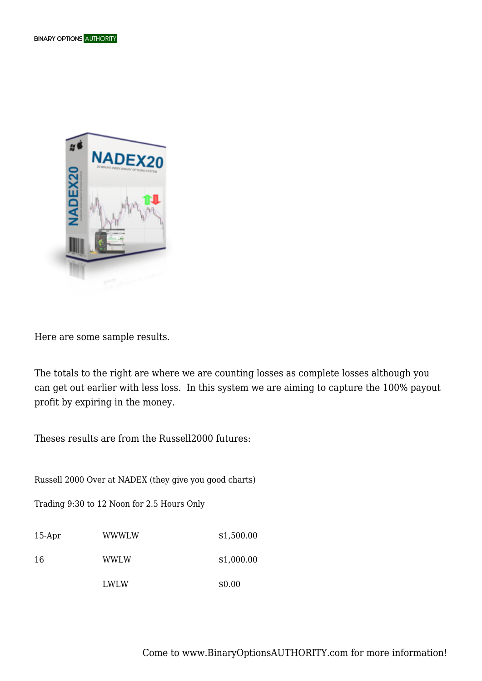

Here are some sample results.

The totals to the right are where we are counting losses as complete losses although you can get out earlier with less loss. In this system we are aiming to capture the 100% payout profit by expiring in the money.

Theses results are from the Russell2000 futures:

Russell 2000 Over at NADEX (they give you good charts)

Trading 9:30 to 12 Noon for 2.5 Hours Only

| $15-Apr$ | WWWI W      | \$1,500.00 |
|----------|-------------|------------|
| 16       | <b>WWLW</b> | \$1,000.00 |
|          | LWLW        | \$0.00     |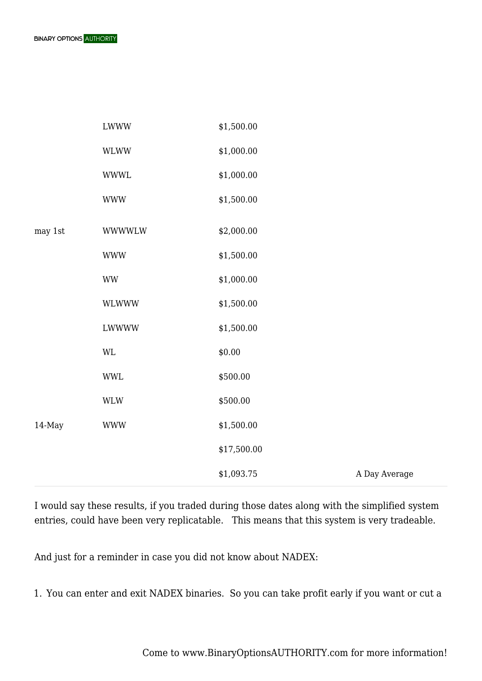

|         | <b>LWWW</b>                      | \$1,500.00  |               |
|---------|----------------------------------|-------------|---------------|
|         | <b>WLWW</b>                      | \$1,000.00  |               |
|         | <b>WWWL</b>                      | \$1,000.00  |               |
|         | <b>WWW</b>                       | \$1,500.00  |               |
| may 1st | <b>WWWWLW</b>                    | \$2,000.00  |               |
|         | <b>WWW</b>                       | \$1,500.00  |               |
|         | $\ensuremath{\text{WW}}$         | \$1,000.00  |               |
|         | WLWWW                            | \$1,500.00  |               |
|         | LWWWW                            | \$1,500.00  |               |
|         | $\mathbf{WL}$                    | \$0.00      |               |
|         | <b>WWL</b>                       | \$500.00    |               |
|         | $\mathsf{W}\mathsf{L}\mathsf{W}$ | \$500.00    |               |
| 14-May  | <b>WWW</b>                       | \$1,500.00  |               |
|         |                                  | \$17,500.00 |               |
|         |                                  | \$1,093.75  | A Day Average |

I would say these results, if you traded during those dates along with the simplified system entries, could have been very replicatable. This means that this system is very tradeable.

And just for a reminder in case you did not know about NADEX:

1. You can enter and exit NADEX binaries. So you can take profit early if you want or cut a